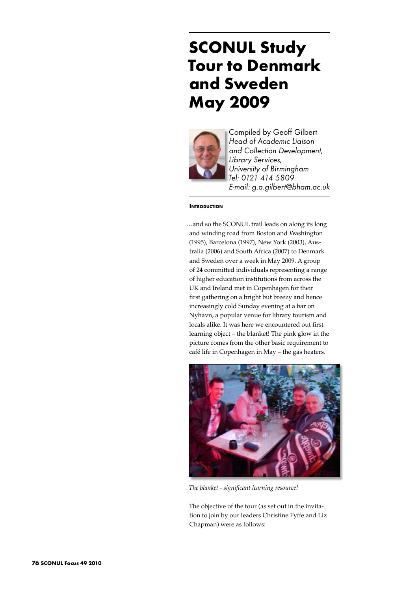# **SCONUL Study Tour to Denmark and Sweden May 2009**



Compiled by Geoff Gilbert *Head of Academic Liaison and Collection Development, Library Services, University of Birmingham Tel: 0121 414 5809 E-mail: g.a.gilbert@bham.ac.uk* 

#### **Introduction**

…and so the SCONUL trail leads on along its long and winding road from Boston and Washington (1995), Barcelona (1997), New York (2003), Australia (2006) and South Africa (2007) to Denmark and Sweden over a week in May 2009. A group of 24 committed individuals representing a range of higher education institutions from across the UK and Ireland met in Copenhagen for their first gathering on a bright but breezy and hence increasingly cold Sunday evening at a bar on Nyhavn, a popular venue for library tourism and locals alike. It was here we encountered out first learning object – the blanket! The pink glow in the picture comes from the other basic requirement to café life in Copenhagen in May – the gas heaters.



*The blanket - significant learning resource!*

The objective of the tour (as set out in the invitation to join by our leaders Christine Fyffe and Liz Chapman) were as follows: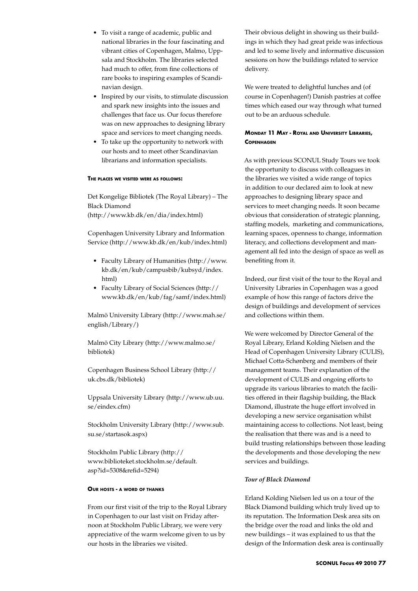- • To visit a range of academic, public and national libraries in the four fascinating and vibrant cities of Copenhagen, Malmo, Uppsala and Stockholm. The libraries selected had much to offer, from fine collections of rare books to inspiring examples of Scandinavian design.
- Inspired by our visits, to stimulate discussion and spark new insights into the issues and challenges that face us. Our focus therefore was on new approaches to designing library space and services to meet changing needs.
- • To take up the opportunity to network with our hosts and to meet other Scandinavian librarians and information specialists.

#### **The places we visited were as follows:**

Det Kongelige Bibliotek (The Royal Library) – The Black Diamond (http://www.kb.dk/en/dia/index.html)

Copenhagen University Library and Information Service (http://www.kb.dk/en/kub/index.html)

- • Faculty Library of Humanities (http://www. kb.dk/en/kub/campusbib/kubsyd/index. html)
- • Faculty Library of Social Sciences (http:// www.kb.dk/en/kub/fag/samf/index.html)

Malmö University Library (http://www.mah.se/ english/Library/)

Malmö City Library (http://www.malmo.se/ bibliotek)

Copenhagen Business School Library (http:// uk.cbs.dk/bibliotek)

Uppsala University Library (http://www.ub.uu. se/eindex.cfm)

Stockholm University Library (http://www.sub. su.se/startasok.aspx)

Stockholm Public Library (http:// www.biblioteket.stockholm.se/default. asp?id=5308&refid=5294)

#### **Our hosts - a word of thanks**

From our first visit of the trip to the Royal Library in Copenhagen to our last visit on Friday afternoon at Stockholm Public Library, we were very appreciative of the warm welcome given to us by our hosts in the libraries we visited.

Their obvious delight in showing us their buildings in which they had great pride was infectious and led to some lively and informative discussion sessions on how the buildings related to service delivery.

We were treated to delightful lunches and (of course in Copenhagen!) Danish pastries at coffee times which eased our way through what turned out to be an arduous schedule.

# **Monday 11 May - Royal and University Libraries, Copenhagen**

As with previous SCONUL Study Tours we took the opportunity to discuss with colleagues in the libraries we visited a wide range of topics in addition to our declared aim to look at new approaches to designing library space and services to meet changing needs. It soon became obvious that consideration of strategic planning, staffing models, marketing and communications, learning spaces, openness to change, information literacy, and collections development and management all fed into the design of space as well as benefiting from it.

Indeed, our first visit of the tour to the Royal and University Libraries in Copenhagen was a good example of how this range of factors drive the design of buildings and development of services and collections within them.

We were welcomed by Director General of the Royal Library, Erland Kolding Nielsen and the Head of Copenhagen University Library (CULIS), Michael Cotta-Schønberg and members of their management teams. Their explanation of the development of CULIS and ongoing efforts to upgrade its various libraries to match the facilities offered in their flagship building, the Black Diamond, illustrate the huge effort involved in developing a new service organisation whilst maintaining access to collections. Not least, being the realisation that there was and is a need to build trusting relationships between those leading the developments and those developing the new services and buildings.

## *Tour of Black Diamond*

Erland Kolding Nielsen led us on a tour of the Black Diamond building which truly lived up to its reputation. The Information Desk area sits on the bridge over the road and links the old and new buildings – it was explained to us that the design of the Information desk area is continually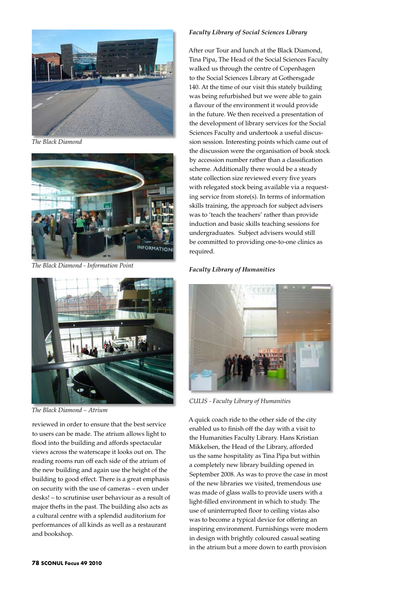

*The Black Diamond*



*The Black Diamond - Information Point*



*The Black Diamond – Atrium*

reviewed in order to ensure that the best service to users can be made. The atrium allows light to flood into the building and affords spectacular views across the waterscape it looks out on. The reading rooms run off each side of the atrium of the new building and again use the height of the building to good effect. There is a great emphasis on security with the use of cameras – even under desks! – to scrutinise user behaviour as a result of major thefts in the past. The building also acts as a cultural centre with a splendid auditorium for performances of all kinds as well as a restaurant and bookshop.

## *Faculty Library of Social Sciences Library*

After our Tour and lunch at the Black Diamond, Tina Pipa, The Head of the Social Sciences Faculty walked us through the centre of Copenhagen to the Social Sciences Library at Gothersgade 140. At the time of our visit this stately building was being refurbished but we were able to gain a flavour of the environment it would provide in the future. We then received a presentation of the development of library services for the Social Sciences Faculty and undertook a useful discussion session. Interesting points which came out of the discussion were the organisation of book stock by accession number rather than a classification scheme. Additionally there would be a steady state collection size reviewed every five years with relegated stock being available via a requesting service from store(s). In terms of information skills training, the approach for subject advisers was to 'teach the teachers' rather than provide induction and basic skills teaching sessions for undergraduates. Subject advisers would still be committed to providing one-to-one clinics as required.

## *Faculty Library of Humanities*



*CULIS - Faculty Library of Humanities*

A quick coach ride to the other side of the city enabled us to finish off the day with a visit to the Humanities Faculty Library. Hans Kristian Mikkelsen, the Head of the Library, afforded us the same hospitality as Tina Pipa but within a completely new library building opened in September 2008. As was to prove the case in most of the new libraries we visited, tremendous use was made of glass walls to provide users with a light-filled environment in which to study. The use of uninterrupted floor to ceiling vistas also was to become a typical device for offering an inspiring environment. Furnishings were modern in design with brightly coloured casual seating in the atrium but a more down to earth provision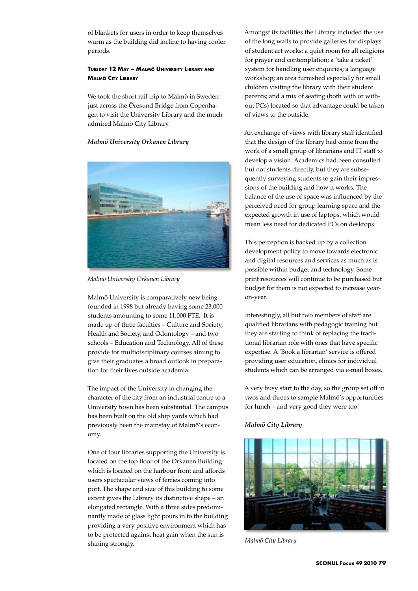of blankets for users in order to keep themselves warm as the building did incline to having cooler periods.

# **Tuesday 12 May – Malmö University Library and Malmö City Library**

We took the short rail trip to Malmö in Sweden just across the Őresund Bridge from Copenhagen to visit the University Library and the much admired Malmö City Library.

## *Malmö University Orkanen Library*



*Malmö University Orkanen Library*

Malmö University is comparatively new being founded in 1998 but already having some 23,000 students amounting to some 11,000 FTE. It is made up of three faculties – Culture and Society, Health and Society, and Odontology – and two schools – Education and Technology. All of these provide for multidisciplinary courses aiming to give their graduates a broad outlook in preparation for their lives outside academia.

The impact of the University in changing the character of the city from an industrial centre to a University town has been substantial. The campus has been built on the old ship yards which had previously been the mainstay of Malmö's economy.

One of four libraries supporting the University is located on the top floor of the Orkanen Building which is located on the harbour front and affords users spectacular views of ferries coming into port. The shape and size of this building to some extent gives the Library its distinctive shape – an elongated rectangle. With a three sides predominantly made of glass light pours in to the building providing a very positive environment which has to be protected against heat gain when the sun is shining strongly.

Amongst its facilities the Library included the use of the long walls to provide galleries for displays of student art works; a quiet room for all religions for prayer and contemplation; a 'take a ticket' system for handling user enquiries; a language workshop; an area furnished especially for small children visiting the library with their student parents; and a mix of seating (both with or without PCs) located so that advantage could be taken of views to the outside.

An exchange of views with library staff identified that the design of the library had come from the work of a small group of librarians and IT staff to develop a vision. Academics had been consulted but not students directly, but they are subsequently surveying students to gain their impressions of the building and how it works. The balance of the use of space was influenced by the perceived need for group learning space and the expected growth in use of laptops, which would mean less need for dedicated PCs on desktops.

This perception is backed up by a collection development policy to move towards electronic and digital resources and services as much as is possible within budget and technology. Some print resources will continue to be purchased but budget for them is not expected to increase yearon-year.

Interestingly, all but two members of staff are qualified librarians with pedagogic training but they are starting to think of replacing the traditional librarian role with ones that have specific expertise. A 'Book a librarian' service is offered providing user education, clinics for individual students which can be arranged via e-mail boxes.

A very busy start to the day, so the group set off in twos and threes to sample Malmö's opportunities for lunch – and very good they were too!

## *Malmö City Library*



*Malmö City Library*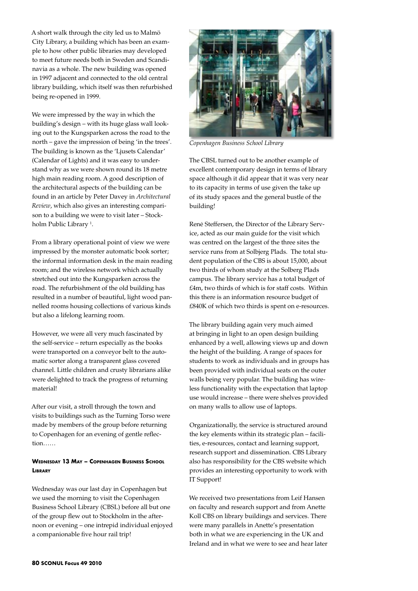A short walk through the city led us to Malmö City Library, a building which has been an example to how other public libraries may developed to meet future needs both in Sweden and Scandinavia as a whole. The new building was opened in 1997 adjacent and connected to the old central library building, which itself was then refurbished being re-opened in 1999.

We were impressed by the way in which the building's design – with its huge glass wall looking out to the Kungsparken across the road to the north – gave the impression of being 'in the trees'. The building is known as the 'Ljusets Calendar' (Calendar of Lights) and it was easy to understand why as we were shown round its 18 metre high main reading room. A good description of the architectural aspects of the building can be found in an article by Peter Davey in *Architectural Review*, which also gives an interesting comparison to a building we were to visit later – Stockholm Public Library <sup>1</sup>.

From a library operational point of view we were impressed by the monster automatic book sorter; the informal information desk in the main reading room; and the wireless network which actually stretched out into the Kungsparken across the road. The refurbishment of the old building has resulted in a number of beautiful, light wood pannelled rooms housing collections of various kinds but also a lifelong learning room.

However, we were all very much fascinated by the self-service – return especially as the books were transported on a conveyor belt to the automatic sorter along a transparent glass covered channel. Little children and crusty librarians alike were delighted to track the progress of returning material!

After our visit, a stroll through the town and visits to buildings such as the Turning Torso were made by members of the group before returning to Copenhagen for an evening of gentle reflection……

## **Wednesday 13 May – Copenhagen Business School Library**

Wednesday was our last day in Copenhagen but we used the morning to visit the Copenhagen Business School Library (CBSL) before all but one of the group flew out to Stockholm in the afternoon or evening – one intrepid individual enjoyed a companionable five hour rail trip!



*Copenhagen Business School Library*

The CBSL turned out to be another example of excellent contemporary design in terms of library space although it did appear that it was very near to its capacity in terms of use given the take up of its study spaces and the general bustle of the building!

Renė Steffersen, the Director of the Library Service, acted as our main guide for the visit which was centred on the largest of the three sites the service runs from at Solbjerg Plads. The total student population of the CBS is about 15,000, about two thirds of whom study at the Solberg Plads campus. The library service has a total budget of £4m, two thirds of which is for staff costs. Within this there is an information resource budget of £840K of which two thirds is spent on e-resources.

The library building again very much aimed at bringing in light to an open design building enhanced by a well, allowing views up and down the height of the building. A range of spaces for students to work as individuals and in groups has been provided with individual seats on the outer walls being very popular. The building has wireless functionality with the expectation that laptop use would increase – there were shelves provided on many walls to allow use of laptops.

Organizationally, the service is structured around the key elements within its strategic plan – facilities, e-resources, contact and learning support, research support and dissemination. CBS Library also has responsibility for the CBS website which provides an interesting opportunity to work with IT Support!

We received two presentations from Leif Hansen on faculty and research support and from Anette Koll CBS on library buildings and services. There were many parallels in Anette's presentation both in what we are experiencing in the UK and Ireland and in what we were to see and hear later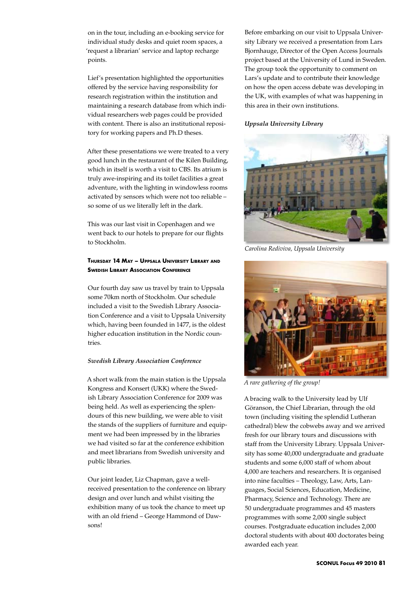on in the tour, including an e-booking service for individual study desks and quiet room spaces, a 'request a librarian' service and laptop recharge points.

Lief's presentation highlighted the opportunities offered by the service having responsibility for research registration within the institution and maintaining a research database from which individual researchers web pages could be provided with content. There is also an institutional repository for working papers and Ph.D theses.

After these presentations we were treated to a very good lunch in the restaurant of the Kilen Building, which in itself is worth a visit to CBS. Its atrium is truly awe-inspiring and its toilet facilities a great adventure, with the lighting in windowless rooms activated by sensors which were not too reliable – so some of us we literally left in the dark.

This was our last visit in Copenhagen and we went back to our hotels to prepare for our flights to Stockholm.

# **Thursday 14 May – Uppsala University Library and Swedish Library Association Conference**

Our fourth day saw us travel by train to Uppsala some 70km north of Stockholm. Our schedule included a visit to the Swedish Library Association Conference and a visit to Uppsala University which, having been founded in 1477, is the oldest higher education institution in the Nordic countries.

## *Swedish Library Association Conference*

A short walk from the main station is the Uppsala Kongress and Konsert (UKK) where the Swedish Library Association Conference for 2009 was being held. As well as experiencing the splendours of this new building, we were able to visit the stands of the suppliers of furniture and equipment we had been impressed by in the libraries we had visited so far at the conference exhibition and meet librarians from Swedish university and public libraries.

Our joint leader, Liz Chapman, gave a wellreceived presentation to the conference on library design and over lunch and whilst visiting the exhibition many of us took the chance to meet up with an old friend – George Hammond of Dawsons!

Before embarking on our visit to Uppsala University Library we received a presentation from Lars Bjornhauge, Director of the Open Access Journals project based at the University of Lund in Sweden. The group took the opportunity to comment on Lars's update and to contribute their knowledge on how the open access debate was developing in the UK, with examples of what was happening in this area in their own institutions.

## *Uppsala University Library*



*Carolina Rediviva, Uppsala University*



*A rare gathering of the group!*

A bracing walk to the University lead by Ulf Göranson, the Chief Librarian, through the old town (including visiting the splendid Lutheran cathedral) blew the cobwebs away and we arrived fresh for our library tours and discussions with staff from the University Library. Uppsala University has some 40,000 undergraduate and graduate students and some 6,000 staff of whom about 4,000 are teachers and researchers. It is organised into nine faculties – Theology, Law, Arts, Languages, Social Sciences, Education, Medicine, Pharmacy, Science and Technology. There are 50 undergraduate programmes and 45 masters programmes with some 2,000 single subject courses. Postgraduate education includes 2,000 doctoral students with about 400 doctorates being awarded each year.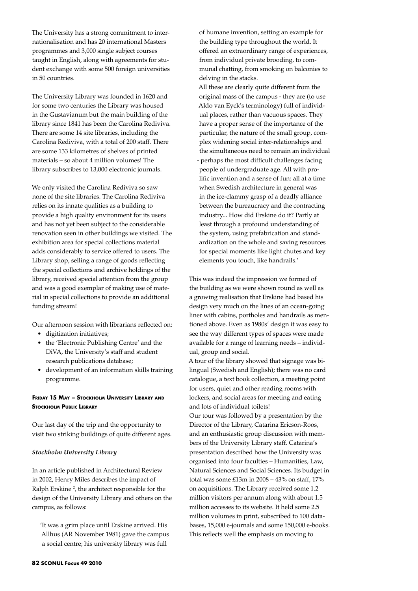The University has a strong commitment to internationalisation and has 20 international Masters programmes and 3,000 single subject courses taught in English, along with agreements for student exchange with some 500 foreign universities in 50 countries.

The University Library was founded in 1620 and for some two centuries the Library was housed in the Gustavianum but the main building of the library since 1841 has been the Carolina Rediviva. There are some 14 site libraries, including the Carolina Rediviva, with a total of 200 staff. There are some 133 kilometres of shelves of printed materials – so about 4 million volumes! The library subscribes to 13,000 electronic journals.

We only visited the Carolina Rediviva so saw none of the site libraries. The Carolina Rediviva relies on its innate qualities as a building to provide a high quality environment for its users and has not yet been subject to the considerable renovation seen in other buildings we visited. The exhibition area for special collections material adds considerably to service offered to users. The Library shop, selling a range of goods reflecting the special collections and archive holdings of the library, received special attention from the group and was a good exemplar of making use of material in special collections to provide an additional funding stream!

Our afternoon session with librarians reflected on:

- • digitization initiatives;
- • the 'Electronic Publishing Centre' and the DiVA, the University's staff and student research publications database;
- • development of an information skills training programme.

# **Friday 15 May – Stockholm University Library and Stockholm Public Library**

Our last day of the trip and the opportunity to visit two striking buildings of quite different ages.

## *Stockholm University Library*

In an article published in Architectural Review in 2002, Henry Miles describes the impact of Ralph Erskine<sup>2</sup>, the architect responsible for the design of the University Library and others on the campus, as follows:

'It was a grim place until Erskine arrived. His Allhus (AR November 1981) gave the campus a social centre; his university library was full

of humane invention, setting an example for the building type throughout the world. It offered an extraordinary range of experiences, from individual private brooding, to communal chatting, from smoking on balconies to delving in the stacks.

All these are clearly quite different from the original mass of the campus - they are (to use Aldo van Eyck's terminology) full of individual places, rather than vacuous spaces. They have a proper sense of the importance of the particular, the nature of the small group, complex widening social inter-relationships and the simultaneous need to remain an individual - perhaps the most difficult challenges facing people of undergraduate age. All with prolific invention and a sense of fun: all at a time when Swedish architecture in general was in the ice-clammy grasp of a deadly alliance between the bureaucracy and the contracting industry... How did Erskine do it? Partly at least through a profound understanding of the system, using prefabrication and standardization on the whole and saving resources for special moments like light chutes and key elements you touch, like handrails.'

This was indeed the impression we formed of the building as we were shown round as well as a growing realisation that Erskine had based his design very much on the lines of an ocean-going liner with cabins, portholes and handrails as mentioned above. Even as 1980s' design it was easy to see the way different types of spaces were made available for a range of learning needs – individual, group and social.

A tour of the library showed that signage was bilingual (Swedish and English); there was no card catalogue, a text book collection, a meeting point for users, quiet and other reading rooms with lockers, and social areas for meeting and eating and lots of individual toilets!

Our tour was followed by a presentation by the Director of the Library, Catarina Ericson-Roos, and an enthusiastic group discussion with members of the University Library staff. Catarina's presentation described how the University was organised into four faculties – Humanities, Law, Natural Sciences and Social Sciences. Its budget in total was some £13m in 2008 – 43% on staff, 17% on acquisitions. The Library received some 1.2 million visitors per annum along with about 1.5 million accesses to its website. It held some 2.5 million volumes in print, subscribed to 100 databases, 15,000 e-journals and some 150,000 e-books. This reflects well the emphasis on moving to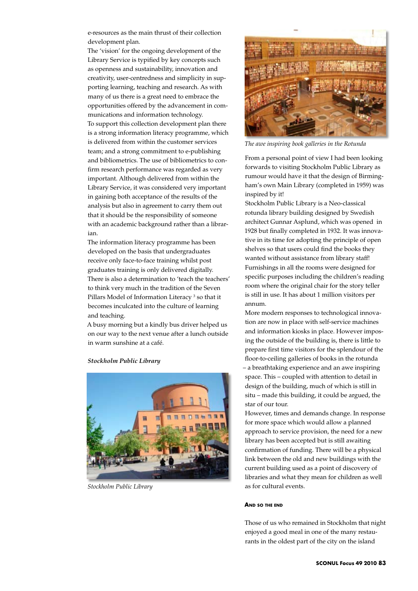e-resources as the main thrust of their collection development plan.

The 'vision' for the ongoing development of the Library Service is typified by key concepts such as openness and sustainability, innovation and creativity, user-centredness and simplicity in supporting learning, teaching and research. As with many of us there is a great need to embrace the opportunities offered by the advancement in communications and information technology. To support this collection development plan there is a strong information literacy programme, which is delivered from within the customer services team; and a strong commitment to e-publishing and bibliometrics. The use of bibliometrics to confirm research performance was regarded as very important. Although delivered from within the Library Service, it was considered very important in gaining both acceptance of the results of the analysis but also in agreement to carry them out that it should be the responsibility of someone with an academic background rather than a librarian.

The information literacy programme has been developed on the basis that undergraduates receive only face-to-face training whilst post graduates training is only delivered digitally. There is also a determination to 'teach the teachers' to think very much in the tradition of the Seven Pillars Model of Information Literacy<sup>3</sup> so that it becomes inculcated into the culture of learning and teaching.

A busy morning but a kindly bus driver helped us on our way to the next venue after a lunch outside in warm sunshine at a café.

#### *Stockholm Public Library*



*Stockholm Public Library*



*The awe inspiring book galleries in the Rotunda*

From a personal point of view I had been looking forwards to visiting Stockholm Public Library as rumour would have it that the design of Birmingham's own Main Library (completed in 1959) was inspired by it!

Stockholm Public Library is a Neo-classical rotunda library building designed by Swedish architect Gunnar Asplund, which was opened in 1928 but finally completed in 1932. It was innovative in its time for adopting the principle of open shelves so that users could find the books they wanted without assistance from library staff! Furnishings in all the rooms were designed for specific purposes including the children's reading room where the original chair for the story teller is still in use. It has about 1 million visitors per annum.

More modern responses to technological innovation are now in place with self-service machines and information kiosks in place. However imposing the outside of the building is, there is little to prepare first time visitors for the splendour of the floor-to-ceiling galleries of books in the rotunda – a breathtaking experience and an awe inspiring space. This – coupled with attention to detail in design of the building, much of which is still in situ – made this building, it could be argued, the star of our tour.

However, times and demands change. In response for more space which would allow a planned approach to service provision, the need for a new library has been accepted but is still awaiting confirmation of funding. There will be a physical link between the old and new buildings with the current building used as a point of discovery of libraries and what they mean for children as well as for cultural events.

#### **And so the end**

Those of us who remained in Stockholm that night enjoyed a good meal in one of the many restaurants in the oldest part of the city on the island